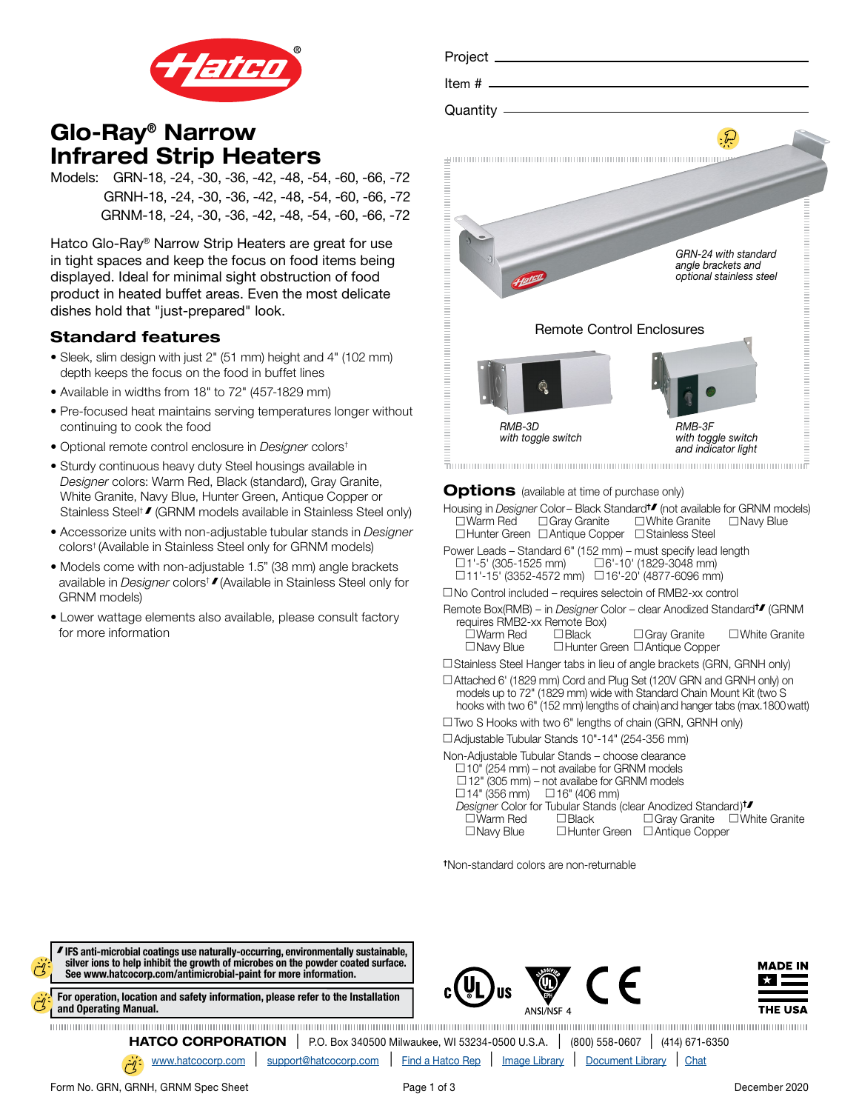

# Glo-Ray® Narrow Infrared Strip Heaters

Models: GRN-18, -24, -30, -36, -42, -48, -54, -60, -66, -72 GRNH-18, -24, -30, -36, -42, -48, -54, -60, -66, -72 GRNM-18, -24, -30, -36, -42, -48, -54, -60, -66, -72

Hatco Glo-Ray® Narrow Strip Heaters are great for use in tight spaces and keep the focus on food items being displayed. Ideal for minimal sight obstruction of food product in heated buffet areas. Even the most delicate dishes hold that "just-prepared" look.

## Standard features

- Sleek, slim design with just 2" (51 mm) height and 4" (102 mm) depth keeps the focus on the food in buffet lines
- Available in widths from 18" to 72" (457-1829 mm)
- Pre-focused heat maintains serving temperatures longer without continuing to cook the food
- Optional remote control enclosure in *Designer* colors†
- Sturdy continuous heavy duty Steel housings available in *Designer* colors: Warm Red, Black (standard), Gray Granite, White Granite, Navy Blue, Hunter Green, Antique Copper or Stainless Steel<sup>†</sup> / (GRNM models available in Stainless Steel only)
- Accessorize units with non-adjustable tubular stands in *Designer* colors† (Available in Stainless Steel only for GRNM models)
- Models come with non-adjustable 1.5" (38 mm) angle brackets available in *Designer* colors† (Available in Stainless Steel only for GRNM models)
- Lower wattage elements also available, please consult factory for more information



Housing in *Designer* Color – Black Standard<sup>+</sup> (not available for GRNM models)  $\square$  Warm Red  $\square$  Gray Granite  $\square$  White Granite  $\square$  Navy Blue  $\Box$  Hunter Green  $\Box$  Antique Copper  $\Box$  Stainless Steel

- Power Leads Standard 6" (152 mm) must specify lead length  $\Box$ 1'-5' (305-1525 mm)  $\Box$  6'-10' (1829-3048 mm)  $\Box$ 11'-15' (3352-4572 mm)  $\Box$ 16'-20' (4877-6096 mm)
- $\square$  No Control included requires selectoin of RMB2-xx control
- Remote Box(RMB) in *Designer* Color clear Anodized Standard<sup>+</sup> (GRNM requires RMB2-xx Remote Box)
	- $\begin{array}{lll}\Box\textsf{Warm}\ \textsf{Red} & \Box\textsf{Black} & \Box\textsf{Gray Granite} & \Box\textsf{White}\ \textsf{Granite} \\ \Box\textsf{Nav} \ \textsf{Blue} & \Box\textsf{Hunter}\ \textsf{Green}\ \Box\textsf{Antique}\ \textsf{Copper} \end{array}$ □ Hunter Green □ Antique Copper

□ Stainless Steel Hanger tabs in lieu of angle brackets (GRN, GRNH only)

- □ Attached 6' (1829 mm) Cord and Plug Set (120V GRN and GRNH only) on models up to 72" (1829 mm) wide with Standard Chain Mount Kit (two S
- hooks with two 6" (152 mm) lengths of chain) and hanger tabs (max.1800 watt)  $\Box$  Two S Hooks with two 6" lengths of chain (GRN, GRNH only)
- c Adjustable Tubular Stands 10"-14" (254-356 mm)

| Non-Adjustable Tubular Stands – choose clearance                         |                                                                       |  |
|--------------------------------------------------------------------------|-----------------------------------------------------------------------|--|
| $\Box$ 10" (254 mm) – not availabe for GRNM models                       |                                                                       |  |
| $\Box$ 12" (305 mm) – not availabe for GRNM models                       |                                                                       |  |
| $\Box$ 14" (356 mm) $\Box$ 16" (406 mm)                                  |                                                                       |  |
| Designer Color for Tubular Stands (clear Anodized Standard) <sup>t</sup> |                                                                       |  |
|                                                                          | $\Box$ Warm Red $\Box$ Black $\Box$ Gray Granite $\Box$ White Granite |  |
| $\Box$ Navy Blue                                                         | □Hunter Green □Antique Copper                                         |  |
|                                                                          |                                                                       |  |

†Non-standard colors are non-returnable



[www.hatcocorp.com](https://www.hatcocorp.com/en) | [support@hatcocorp.com](mailto:support%40hatcocorp.com?subject=) | [Find a Hatco Rep](https://www.hatcocorp.com/en/support/find-a-rep) | [Image Library](https://www.hatcocorp.com/en/resources/image-library) | [Document Library](https://www.hatcocorp.com/en/resources/document-library) | [Chat](http://messenger.providesupport.com/messenger/09icew6fjvmk507jd84boe6v2r.html)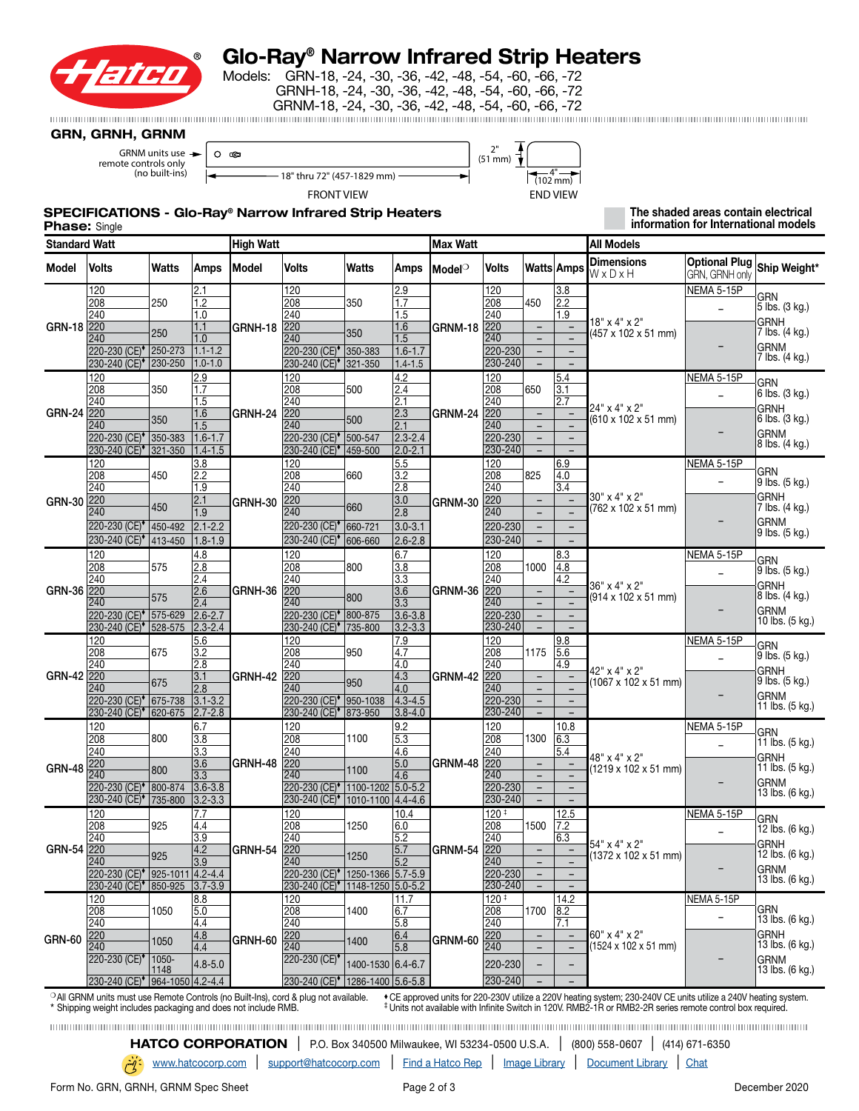

# Glo-Ray® Narrow Infrared Strip Heaters

Models: GRN-18, -24, -30, -36, -42, -48, -54, -60, -66, -72 GRNH-18, -24, -30, -36, -42, -48, -54, -60, -66, -72 GRNM-18, -24, -30, -36, -42, -48, -54, -60, -66, -72

#### GRN, GRNH, GRNM

GRNM units use  $\rightarrow$ remote controls only (no built-ins)

| ∩<br>ce                      | ייר<br>$(51$ mm $)$  |
|------------------------------|----------------------|
| 18" thru 72" (457-1829 mm) - | $(102 \, \text{mm})$ |
| <b>FRONT VIEW</b>            | <b>END VIEW</b>      |

┳

### SPECIFICATIONS - Glo-Ray® Narrow Infrared Strip Heaters

 The shaded areas contain electrical information for International models

| <b>Phase: Single</b> |  |
|----------------------|--|
|----------------------|--|

|               | <b>Standard Watt</b>                                                                                                                                                                                                                                                                                                                                                                                           |           |                            | High Watt    |                                                                        |                                   |                                                                                  | Max Watt           |                                      |                                                      |                                               | All Models                            |                                        |                                |
|---------------|----------------------------------------------------------------------------------------------------------------------------------------------------------------------------------------------------------------------------------------------------------------------------------------------------------------------------------------------------------------------------------------------------------------|-----------|----------------------------|--------------|------------------------------------------------------------------------|-----------------------------------|----------------------------------------------------------------------------------|--------------------|--------------------------------------|------------------------------------------------------|-----------------------------------------------|---------------------------------------|----------------------------------------|--------------------------------|
| Model         | Volts                                                                                                                                                                                                                                                                                                                                                                                                          | Watts     | <b>Amps</b>                | <b>Model</b> | Volts                                                                  | Watts                             | Amps                                                                             | Model <sup>o</sup> | Volts                                |                                                      | Watts Amps                                    | <b>Dimensions</b><br>WxDxH            | <b>Optional Plug</b><br>GRN, GRNH only | Ship Weight*                   |
|               | 120                                                                                                                                                                                                                                                                                                                                                                                                            |           | 2.1                        |              | 120                                                                    |                                   | 2.9                                                                              |                    | 120                                  |                                                      | 3.8                                           |                                       | NEMA 5-15P                             | <b>GRN</b>                     |
|               | 208                                                                                                                                                                                                                                                                                                                                                                                                            | 250       | $\overline{1.2}$           |              | 208                                                                    | 350                               | $\overline{1.7}$                                                                 |                    | 208                                  | 450                                                  | 2.2                                           |                                       | $\overline{\phantom{a}}$               | 5 lbs. (3 kg.)                 |
|               | 240                                                                                                                                                                                                                                                                                                                                                                                                            |           | 1.0                        |              | 240                                                                    |                                   | 1.5                                                                              |                    | 240                                  |                                                      | 1.9                                           | $18" \times 4" \times 2"$             |                                        | <b>GRNH</b>                    |
| <b>GRN-18</b> | 220                                                                                                                                                                                                                                                                                                                                                                                                            | 250       | 1.1                        | GRNH-18      | 220                                                                    | 350                               | 1.6                                                                              | GRNM-18            | 220<br>240                           | $\blacksquare$                                       | $\blacksquare$                                | (457 x 102 x 51 mm)                   |                                        | 7 lbs. (4 kg.)                 |
|               | 240<br>220-230 (CE) <sup>+</sup> 250-273                                                                                                                                                                                                                                                                                                                                                                       |           | 1.0<br>$1.1 - 1.2$         |              | 240<br>220-230 (CE) <sup>+</sup> 350-383                               |                                   | 1.5<br>$1.6 - 1.7$                                                               |                    | 220-230                              | $\overline{\phantom{0}}$<br>$\overline{\phantom{a}}$ | $\overline{\phantom{0}}$<br>$\qquad \qquad -$ |                                       | $\overline{\phantom{0}}$               | <b>GRNM</b>                    |
|               | 230-240 (CE) <sup>+</sup> 230-250                                                                                                                                                                                                                                                                                                                                                                              |           | $1.0 - 1.0$                |              | 230-240 (CE) <sup>*</sup> 321-350                                      |                                   | $1.4 - 1.5$                                                                      |                    | 230-240                              |                                                      |                                               |                                       |                                        | 7 lbs. (4 kg.)                 |
|               | 120                                                                                                                                                                                                                                                                                                                                                                                                            |           | 2.9                        |              | 120                                                                    |                                   | 4.2                                                                              |                    | 120                                  |                                                      | 5.4                                           |                                       | NEMA 5-15P                             |                                |
|               | 208                                                                                                                                                                                                                                                                                                                                                                                                            | 350       | $\overline{1.7}$           |              | 208                                                                    | 500                               | $\sqrt{2.4}$                                                                     |                    | 208                                  | 650                                                  | $\overline{3.1}$                              |                                       |                                        | <b>GRN</b><br>6 lbs. (3 kg.)   |
|               | 240                                                                                                                                                                                                                                                                                                                                                                                                            |           | 1.5                        |              | 240                                                                    |                                   | 2.1                                                                              |                    | 240                                  |                                                      | 2.7                                           | 24" x 4" x 2"                         |                                        | <b>GRNH</b>                    |
| <b>GRN-24</b> | 220                                                                                                                                                                                                                                                                                                                                                                                                            | 350       | 1.6                        | GRNH-24      | 220                                                                    | 500                               | 2.3                                                                              | GRNM-24            | 220                                  | $\overline{\phantom{a}}$                             | $\overline{\phantom{a}}$                      | (610 x 102 x 51 mm)                   |                                        | 6 lbs. (3 kg.)                 |
|               | 240                                                                                                                                                                                                                                                                                                                                                                                                            |           | 1.5                        |              | 240                                                                    |                                   | 2.1                                                                              |                    | 240                                  | $\overline{\phantom{0}}$                             | $\overline{\phantom{0}}$                      |                                       |                                        | <b>GRNM</b>                    |
|               | 220-230 (CE) <sup>*</sup> 350-383<br>230-240 (CE) <sup>+</sup> 321-350                                                                                                                                                                                                                                                                                                                                         |           | $1.6 - 1.7$<br>$1.4 - 1.5$ |              | 220-230 (CE) <sup>+</sup> 500-547<br>230-240 (CE) <sup>+</sup> 459-500 |                                   | $2.3 - 2.4$<br>$2.0 - 2.1$                                                       |                    | 220-230<br>230-240                   | $\overline{\phantom{a}}$                             | $\equiv$                                      |                                       |                                        | 8 lbs. (4 kg.)                 |
|               | 120                                                                                                                                                                                                                                                                                                                                                                                                            |           | 3.8                        |              | 120                                                                    |                                   | 5.5                                                                              |                    | 120                                  |                                                      | 6.9                                           |                                       | NEMA 5-15P                             |                                |
|               | 208                                                                                                                                                                                                                                                                                                                                                                                                            | 450       | 2.2                        |              | 208                                                                    | 660                               | 3.2                                                                              |                    | 208                                  | 825                                                  | 4.0                                           |                                       |                                        | GRN                            |
|               | 240                                                                                                                                                                                                                                                                                                                                                                                                            |           | 1.9                        |              | 240                                                                    |                                   | 2.8                                                                              |                    | 240                                  |                                                      | 3.4                                           |                                       |                                        | $9$ lbs. (5 kg.)               |
| <b>GRN-30</b> | 220                                                                                                                                                                                                                                                                                                                                                                                                            |           | 2.1                        | GRNH-30      | 220                                                                    |                                   | 3.0                                                                              | GRNM-30            | 220                                  | $\equiv$                                             | $\equiv$                                      | 30" x 4" x 2"                         |                                        | <b>GRNH</b>                    |
|               | 240                                                                                                                                                                                                                                                                                                                                                                                                            | 450       | 1.9                        |              | 240                                                                    | 660                               | 2.8                                                                              |                    | 240                                  |                                                      |                                               | (762 x 102 x 51 mm)                   |                                        | 7 lbs. (4 kg.)                 |
|               | 220-230 (CE) <sup>+</sup> 450-492                                                                                                                                                                                                                                                                                                                                                                              |           | $2.1 - 2.2$                |              | 220-230 (CE) <sup>+</sup> 660-721                                      |                                   | $3.0 - 3.1$                                                                      |                    | 220-230                              | $\overline{\phantom{0}}$                             | $\overline{\phantom{0}}$                      |                                       | $\overline{\phantom{0}}$               | <b>GRNM</b><br>9 lbs. (5 kg.)  |
|               | 230-240 (CE) <sup>+</sup> 413-450                                                                                                                                                                                                                                                                                                                                                                              |           | $1.8 - 1.9$                |              | 230-240 (CE) <sup>+</sup> 606-660                                      |                                   | $2.6 - 2.8$                                                                      |                    | 230-240                              |                                                      |                                               |                                       |                                        |                                |
|               | 120                                                                                                                                                                                                                                                                                                                                                                                                            |           | 4.8                        |              | 120                                                                    |                                   | 6.7                                                                              |                    | 120                                  |                                                      | 8.3                                           |                                       | NEMA 5-15P                             | <b>GRN</b>                     |
|               | 208                                                                                                                                                                                                                                                                                                                                                                                                            | 575       | 2.8                        |              | 208                                                                    | 800                               | 3.8                                                                              |                    | 208                                  | 1000                                                 | 4.8                                           | 36" x 4" x 2"                         | $\qquad \qquad -$                      | 9 lbs. (5 kg.)                 |
|               | 240                                                                                                                                                                                                                                                                                                                                                                                                            |           | 2.4                        |              | 240                                                                    |                                   | 3.3                                                                              |                    | 240                                  |                                                      | 4.2                                           |                                       |                                        | <b>GRNH</b>                    |
| <b>GRN-36</b> | 220<br>240                                                                                                                                                                                                                                                                                                                                                                                                     | 575       | 2.6<br>2.4                 | GRNH-36      | 220<br>240                                                             | 800                               | 3.6<br>3.3                                                                       | GRNM-36            | 220<br>240                           | $\overline{\phantom{a}}$<br>$\overline{\phantom{a}}$ | $\qquad \qquad -$<br>$\overline{\phantom{a}}$ | (914 x 102 x 51 mm)                   |                                        | 8 lbs. (4 kg.)                 |
|               | 220-230 (CE) <sup>*</sup> 575-629                                                                                                                                                                                                                                                                                                                                                                              |           | $2.6 - 2.7$                |              | 220-230 (CE) <sup>+</sup> 800-875                                      |                                   | $3.6 - 3.8$                                                                      |                    | 220-230                              | $\overline{\phantom{a}}$                             | $\overline{\phantom{m}}$                      |                                       |                                        | <b>GRNM</b>                    |
|               | 230-240 (CE) <sup>+</sup> 528-575                                                                                                                                                                                                                                                                                                                                                                              |           | $2.3 - 2.4$                |              |                                                                        | 230-240 (CE) <sup>*</sup> 735-800 | $3.2 - 3.3$                                                                      |                    | 230-240                              |                                                      |                                               |                                       |                                        | 10 lbs. (5 kg.)                |
|               | 120                                                                                                                                                                                                                                                                                                                                                                                                            |           | 5.6                        |              | 120                                                                    |                                   | 7.9                                                                              |                    | 120                                  |                                                      | 9.8                                           |                                       | <b>NEMA 5-15P</b>                      |                                |
|               | 208                                                                                                                                                                                                                                                                                                                                                                                                            | 675       | 3.2                        |              | 208                                                                    | 950                               | 4.7                                                                              |                    | 208                                  | 1175                                                 | 5.6                                           |                                       | $\overline{\phantom{a}}$               | <b>GRN</b><br>9 lbs. (5 kg.)   |
|               | 240                                                                                                                                                                                                                                                                                                                                                                                                            |           | $\sqrt{2.8}$               |              | 240                                                                    | 4.0                               |                                                                                  | 240                |                                      | 4.9                                                  | 42" x 4" x 2"                                 |                                       | <b>GRNH</b>                            |                                |
| <b>GRN-42</b> | 220                                                                                                                                                                                                                                                                                                                                                                                                            | 675       | 3.1                        | GRNH-42      | 220                                                                    | 950                               | 4.3                                                                              | GRNM-42            | 220                                  | $\equiv$                                             | $\overline{\phantom{0}}$                      | (1067 x 102 x 51 mm)                  |                                        | 9 lbs. (5 kg.)                 |
|               | 240<br>220-230 (CE) <sup>+</sup> 675-738                                                                                                                                                                                                                                                                                                                                                                       |           | 2.8                        |              | 240                                                                    |                                   | 240<br>4.0<br>220-230 (CE) <sup>+</sup> 950-1038<br>$ 4.3 - 4.5 $<br>$3.8 - 4.0$ |                    | $\equiv$<br>$\overline{\phantom{0}}$ | ۳<br>$\overline{\phantom{0}}$                        |                                               |                                       | <b>GRNM</b>                            |                                |
|               | 230-240 (CE) <sup>+</sup> 620-675                                                                                                                                                                                                                                                                                                                                                                              |           | $3.1 - 3.2$<br>$2.7 - 2.8$ |              | 230-240 (CE) <sup>*</sup> 873-950                                      |                                   |                                                                                  | 220-230<br>230-240 |                                      | $\qquad \qquad -$                                    |                                               |                                       | 11 lbs. (5 kg.)                        |                                |
|               | 120                                                                                                                                                                                                                                                                                                                                                                                                            |           | 6.7                        |              | 120                                                                    |                                   | 9.2                                                                              |                    | 120                                  |                                                      | 10.8                                          |                                       | NEMA 5-15P                             |                                |
|               | 208                                                                                                                                                                                                                                                                                                                                                                                                            | 800       | 3.8                        |              | 208                                                                    | 1100                              | $\sqrt{5.3}$                                                                     |                    | 208                                  | 1300                                                 | 6.3                                           |                                       |                                        | <b>GRN</b><br>11 lbs. (5 kg.)  |
|               | 240                                                                                                                                                                                                                                                                                                                                                                                                            |           | 3.3                        |              | 240                                                                    |                                   | 4.6                                                                              |                    | 240                                  |                                                      | $\overline{5.4}$                              |                                       | $\overline{\phantom{0}}$               |                                |
| <b>GRN-48</b> | 220                                                                                                                                                                                                                                                                                                                                                                                                            | 800       | 3.6                        | GRNH-48      | 220                                                                    | 1100                              | 5.0                                                                              | GRNM-48            | 220                                  | $\overline{\phantom{0}}$                             |                                               | 48" x 4" x 2"<br>(1219 x 102 x 51 mm) |                                        | <b>GRNH</b><br>11 lbs. (5 kg.) |
|               | 240                                                                                                                                                                                                                                                                                                                                                                                                            |           | 3.3                        |              | 240                                                                    |                                   | 4.6                                                                              |                    | 240                                  | $\overline{\phantom{a}}$                             | $\overline{\phantom{0}}$                      |                                       | $\overline{\phantom{0}}$               | <b>GRNM</b>                    |
|               | 220-230 (CE) <sup>+</sup> 800-874                                                                                                                                                                                                                                                                                                                                                                              |           | $3.6 - 3.8$                |              | 220-230 (CE) <sup>+</sup> 1100-1202 5.0-5.2                            |                                   |                                                                                  |                    | 220-230<br>230-240                   | $\overline{\phantom{a}}$                             | $\overline{\phantom{a}}$                      |                                       |                                        | 13 lbs. (6 kg.)                |
|               | 230-240 (CE) <sup>+</sup> 735-800                                                                                                                                                                                                                                                                                                                                                                              |           | $3.2 - 3.3$                |              | 230-240 (CE) <sup>*</sup> 1010-1100 4.4-4.6                            |                                   |                                                                                  |                    |                                      | $\overline{\phantom{0}}$                             | $\overline{\phantom{a}}$                      |                                       |                                        |                                |
|               | 120<br>208                                                                                                                                                                                                                                                                                                                                                                                                     | 925       | 7.7<br>4.4                 |              | 120<br>208                                                             | 1250                              | 10.4<br>6.0                                                                      |                    | 120 <sup>‡</sup><br>208              | 1500                                                 | 12.5<br>7.2                                   |                                       | NEMA 5-15P                             | <b>GRN</b>                     |
|               | 240                                                                                                                                                                                                                                                                                                                                                                                                            |           | 3.9                        |              | 240                                                                    |                                   | 5.2                                                                              |                    | 240                                  |                                                      | 6.3                                           |                                       |                                        | 12 lbs. (6 kg.)                |
| <b>GRN-54</b> | 220                                                                                                                                                                                                                                                                                                                                                                                                            |           | 4.2                        | GRNH-54      | 220                                                                    |                                   | $\overline{5.7}$                                                                 | GRNM-54            | 220                                  |                                                      | $\qquad \qquad -$                             | 54" x 4" x 2"                         |                                        | <b>GRNH</b><br>12 lbs. (6 kg.) |
|               | 240                                                                                                                                                                                                                                                                                                                                                                                                            | 925       | 3.9                        |              | 240                                                                    | 1250                              | $\overline{5.2}$                                                                 |                    | 240                                  | $\overline{\phantom{0}}$                             | $\equiv$                                      | (1372 x 102 x 51 mm)                  |                                        | <b>GRNM</b>                    |
|               | 220-230 (CE) <sup>•</sup>  925-1011 4.2-4.4                                                                                                                                                                                                                                                                                                                                                                    |           |                            |              |                                                                        |                                   | 220-230 (CE) <sup>•</sup>  1250-1366  5.7-5.9                                    | 220-230            | $\overline{\phantom{a}}$             | $\overline{\phantom{0}}$                             |                                               |                                       | 13 lbs. (6 kg.)                        |                                |
|               | 230-240 (CE) <sup>+</sup> 850-925 3.7-3.9                                                                                                                                                                                                                                                                                                                                                                      |           |                            |              | 230-240 (CE) <sup>*</sup> 1148-1250 5.0-5.2                            |                                   |                                                                                  |                    | 230-240                              |                                                      |                                               |                                       |                                        |                                |
|               | 120<br>208                                                                                                                                                                                                                                                                                                                                                                                                     | 1050      | 8.8<br>5.0                 |              | 120<br>208                                                             | 1400                              | 11.7<br>6.7                                                                      |                    | $120 +$<br>208                       | 1700                                                 | 14.2<br> 8.2                                  |                                       | NEMA 5-15P                             | GRN                            |
|               | 240                                                                                                                                                                                                                                                                                                                                                                                                            |           | 4.4                        |              | 240                                                                    |                                   | 5.8                                                                              |                    | 240                                  |                                                      | 7.1                                           |                                       | $\qquad \qquad -$                      | 13 lbs. (6 kg.)                |
|               | 220                                                                                                                                                                                                                                                                                                                                                                                                            |           | 4.8                        |              | 220                                                                    |                                   | 6.4                                                                              |                    | 220                                  | $\overline{\phantom{a}}$                             | $\blacksquare$                                | 60" x 4" x 2"                         |                                        | GRNH                           |
| <b>GRN-60</b> | 240                                                                                                                                                                                                                                                                                                                                                                                                            | 1050      | 4.4                        | GRNH-60      | 240                                                                    | 1400                              | 5.8                                                                              | GRNM-60            | 240                                  |                                                      | $\overline{\phantom{0}}$                      | (1524 x 102 x 51 mm)                  |                                        | 13 lbs. (6 kg.)                |
|               | 220-230 (CE) <sup>+</sup>                                                                                                                                                                                                                                                                                                                                                                                      | $ 1050 -$ | $4.8 - 5.0$                |              | 220-230 (CE) <sup>*</sup>                                              | 1400-1530 6.4-6.7                 |                                                                                  |                    | 220-230                              |                                                      |                                               |                                       |                                        | GRNM                           |
|               | 230-240 (CE) <sup>*</sup> 964-1050 4.2-4.4                                                                                                                                                                                                                                                                                                                                                                     | 1148      |                            |              | 230-240 (CE) <sup>+</sup> 1286-1400 5.6-5.8                            |                                   |                                                                                  | 230-240            |                                      |                                                      |                                               |                                       | 13 lbs. (6 kg.)                        |                                |
|               |                                                                                                                                                                                                                                                                                                                                                                                                                |           |                            |              |                                                                        |                                   |                                                                                  |                    |                                      |                                                      |                                               |                                       |                                        |                                |
|               | <sup>O</sup> All GRNM units must use Remote Controls (no Built-Ins), cord & plug not available.<br>* CE approved units for 220-230V utilize a 220V heating system; 230-240V CE units utilize a 240V heating system.<br><sup>‡</sup> Units not available with Infinite Switch in 120V. RMB2-1R or RMB2-2R series remote control box required.<br>* Shipping weight includes packaging and does not include RMB. |           |                            |              |                                                                        |                                   |                                                                                  |                    |                                      |                                                      |                                               |                                       |                                        |                                |

**HATCO CORPORATION** | P.O. Box 340500 Milwaukee, WI 53234-0500 U.S.A. | (800) 558-0607 | (414) 671-6350 [www.hatcocorp.com](https://www.hatcocorp.com/en) | [support@hatcocorp.com](mailto:support%40hatcocorp.com?subject=) | [Find a Hatco Rep](https://www.hatcocorp.com/en/support/find-a-rep) | [Image Library](https://www.hatcocorp.com/en/resources/image-library) | [Document Library](https://www.hatcocorp.com/en/resources/document-library) | [Chat](http://messenger.providesupport.com/messenger/09icew6fjvmk507jd84boe6v2r.html)

Form No. GRN, GRNH, GRNM Spec Sheet Page 2 of 3 Page 2 of 3 December 2020

 $\tilde{C}$